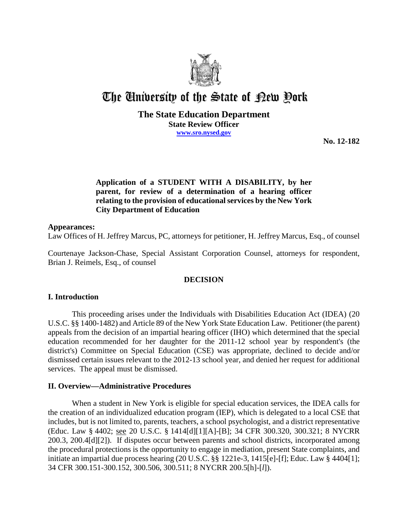

# The University of the State of Pew Pork

## **The State Education Department State Review Officer www.sro.nysed.gov**

**No. 12-182**

## **Application of a STUDENT WITH A DISABILITY, by her parent, for review of a determination of a hearing officer relating to the provision of educational services by the New York City Department of Education**

## **Appearances:**

Law Offices of H. Jeffrey Marcus, PC, attorneys for petitioner, H. Jeffrey Marcus, Esq., of counsel

Courtenaye Jackson-Chase, Special Assistant Corporation Counsel, attorneys for respondent, Brian J. Reimels, Esq., of counsel

## **DECISION**

## **I. Introduction**

This proceeding arises under the Individuals with Disabilities Education Act (IDEA) (20 U.S.C. §§ 1400-1482) and Article 89 of the New York State Education Law. Petitioner (the parent) appeals from the decision of an impartial hearing officer (IHO) which determined that the special education recommended for her daughter for the 2011-12 school year by respondent's (the district's) Committee on Special Education (CSE) was appropriate, declined to decide and/or dismissed certain issues relevant to the 2012-13 school year, and denied her request for additional services. The appeal must be dismissed.

## **II. Overview—Administrative Procedures**

When a student in New York is eligible for special education services, the IDEA calls for the creation of an individualized education program (IEP), which is delegated to a local CSE that includes, but is not limited to, parents, teachers, a school psychologist, and a district representative (Educ. Law § 4402; see 20 U.S.C. § 1414[d][1][A]-[B]; 34 CFR 300.320, 300.321; 8 NYCRR 200.3, 200.4[d][2]). If disputes occur between parents and school districts, incorporated among the procedural protections is the opportunity to engage in mediation, present State complaints, and initiate an impartial due process hearing (20 U.S.C. §§ 1221e-3, 1415[e]-[f]; Educ. Law § 4404[1]; 34 CFR 300.151-300.152, 300.506, 300.511; 8 NYCRR 200.5[h]-[*l*]).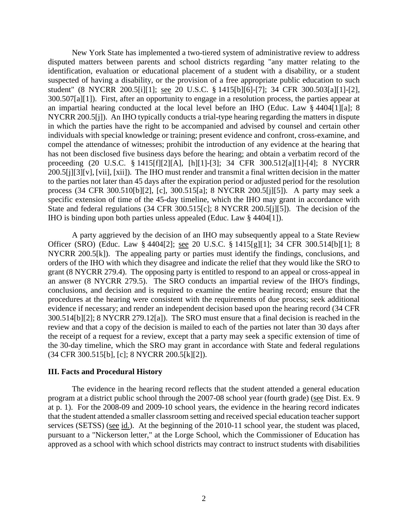New York State has implemented a two-tiered system of administrative review to address disputed matters between parents and school districts regarding "any matter relating to the identification, evaluation or educational placement of a student with a disability, or a student suspected of having a disability, or the provision of a free appropriate public education to such student" (8 NYCRR 200.5[i][1]; see 20 U.S.C. § 1415[b][6]-[7]; 34 CFR 300.503[a][1]-[2], 300.507[a][1]). First, after an opportunity to engage in a resolution process, the parties appear at an impartial hearing conducted at the local level before an IHO (Educ. Law § 4404[1][a]; 8 NYCRR 200.5[j]). An IHO typically conducts a trial-type hearing regarding the matters in dispute in which the parties have the right to be accompanied and advised by counsel and certain other individuals with special knowledge or training; present evidence and confront, cross-examine, and compel the attendance of witnesses; prohibit the introduction of any evidence at the hearing that has not been disclosed five business days before the hearing; and obtain a verbatim record of the proceeding (20 U.S.C. § 1415[f][2][A], [h][1]-[3]; 34 CFR 300.512[a][1]-[4]; 8 NYCRR 200.5[j][3][v], [vii], [xii]). The IHO must render and transmit a final written decision in the matter to the parties not later than 45 days after the expiration period or adjusted period for the resolution process (34 CFR 300.510[b][2], [c], 300.515[a]; 8 NYCRR 200.5[j][5]). A party may seek a specific extension of time of the 45-day timeline, which the IHO may grant in accordance with State and federal regulations (34 CFR 300.515[c]; 8 NYCRR 200.5[j][5]). The decision of the IHO is binding upon both parties unless appealed (Educ. Law § 4404[1]).

A party aggrieved by the decision of an IHO may subsequently appeal to a State Review Officer (SRO) (Educ. Law § 4404[2]; see 20 U.S.C. § 1415[g][1]; 34 CFR 300.514[b][1]; 8 NYCRR 200.5[k]). The appealing party or parties must identify the findings, conclusions, and orders of the IHO with which they disagree and indicate the relief that they would like the SRO to grant (8 NYCRR 279.4). The opposing party is entitled to respond to an appeal or cross-appeal in an answer (8 NYCRR 279.5). The SRO conducts an impartial review of the IHO's findings, conclusions, and decision and is required to examine the entire hearing record; ensure that the procedures at the hearing were consistent with the requirements of due process; seek additional evidence if necessary; and render an independent decision based upon the hearing record (34 CFR 300.514[b][2]; 8 NYCRR 279.12[a]). The SRO must ensure that a final decision is reached in the review and that a copy of the decision is mailed to each of the parties not later than 30 days after the receipt of a request for a review, except that a party may seek a specific extension of time of the 30-day timeline, which the SRO may grant in accordance with State and federal regulations (34 CFR 300.515[b], [c]; 8 NYCRR 200.5[k][2]).

## **III. Facts and Procedural History**

The evidence in the hearing record reflects that the student attended a general education program at a district public school through the 2007-08 school year (fourth grade) (see Dist. Ex. 9 at p. 1). For the 2008-09 and 2009-10 school years, the evidence in the hearing record indicates that the student attended a smaller classroom setting and received special education teacher support services (SETSS) (see id.). At the beginning of the 2010-11 school year, the student was placed, pursuant to a "Nickerson letter," at the Lorge School, which the Commissioner of Education has approved as a school with which school districts may contract to instruct students with disabilities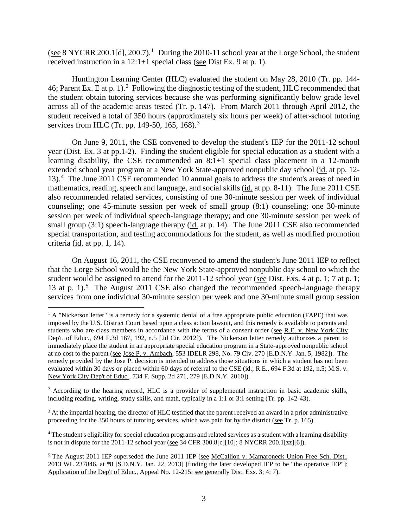(see 8 NYCRR 200.1[d], 200.7).<sup>1</sup> During the 2010-11 school year at the Lorge School, the student received instruction in a 12:1+1 special class (see Dist Ex. 9 at p. 1).

Huntington Learning Center (HLC) evaluated the student on May 28, 2010 (Tr. pp. 144- 46; Parent Ex. E at p. 1).<sup>2</sup> Following the diagnostic testing of the student, HLC recommended that the student obtain tutoring services because she was performing significantly below grade level across all of the academic areas tested (Tr. p. 147). From March 2011 through April 2012, the student received a total of 350 hours (approximately six hours per week) of after-school tutoring services from HLC (Tr. pp. 149-50, 165, 168).<sup>3</sup>

On June 9, 2011, the CSE convened to develop the student's IEP for the 2011-12 school year (Dist. Ex. 3 at pp.1-2). Finding the student eligible for special education as a student with a learning disability, the CSE recommended an 8:1+1 special class placement in a 12-month extended school year program at a New York State-approved nonpublic day school (id. at pp. 12- 13).<sup>4</sup> The June 2011 CSE recommended 10 annual goals to address the student's areas of need in mathematics, reading, speech and language, and social skills (id. at pp. 8-11). The June 2011 CSE also recommended related services, consisting of one 30-minute session per week of individual counseling; one 45-minute session per week of small group (8:1) counseling; one 30-minute session per week of individual speech-language therapy; and one 30-minute session per week of small group (3:1) speech-language therapy (id. at p. 14). The June 2011 CSE also recommended special transportation, and testing accommodations for the student, as well as modified promotion criteria (id. at pp. 1, 14).

On August 16, 2011, the CSE reconvened to amend the student's June 2011 IEP to reflect that the Lorge School would be the New York State-approved nonpublic day school to which the student would be assigned to attend for the 2011-12 school year (see Dist. Exs. 4 at p. 1; 7 at p. 1; 13 at p.  $1$ ).<sup>5</sup> The August 2011 CSE also changed the recommended speech-language therapy services from one individual 30-minute session per week and one 30-minute small group session

<sup>2</sup> According to the hearing record, HLC is a provider of supplemental instruction in basic academic skills, including reading, writing, study skills, and math, typically in a 1:1 or 3:1 setting (Tr. pp. 142-43).

<sup>3</sup> At the impartial hearing, the director of HLC testified that the parent received an award in a prior administrative proceeding for the 350 hours of tutoring services, which was paid for by the district (see Tr. p. 165).

<sup>4</sup> The student's eligibility for special education programs and related services as a student with a learning disability is not in dispute for the 2011-12 school year (see 34 CFR 300.8[c][10]; 8 NYCRR 200.1[zz][6]).

<sup>&</sup>lt;sup>1</sup> A "Nickerson letter" is a remedy for a systemic denial of a free appropriate public education (FAPE) that was imposed by the U.S. District Court based upon a class action lawsuit, and this remedy is available to parents and students who are class members in accordance with the terms of a consent order (see R.E. v. New York City Dep't. of Educ., 694 F.3d 167, 192, n.5 [2d Cir. 2012]). The Nickerson letter remedy authorizes a parent to immediately place the student in an appropriate special education program in a State-approved nonpublic school at no cost to the parent (see Jose P. v. Ambach, 553 IDELR 298, No. 79 Civ. 270 [E.D.N.Y. Jan. 5, 1982]). The remedy provided by the Jose P. decision is intended to address those situations in which a student has not been evaluated within 30 days or placed within 60 days of referral to the CSE (id.; R.E., 694 F.3d at 192, n.5; M.S. v. New York City Dep't of Educ., 734 F. Supp. 2d 271, 279 [E.D.N.Y. 2010]).

<sup>&</sup>lt;sup>5</sup> The August 2011 IEP superseded the June 2011 IEP (see McCallion v. Mamaroneck Union Free Sch. Dist., 2013 WL 237846, at \*8 [S.D.N.Y. Jan. 22, 2013] [finding the later developed IEP to be "the operative IEP"]; Application of the Dep't of Educ., Appeal No. 12-215; <u>see generally</u> Dist. Exs. 3; 4; 7).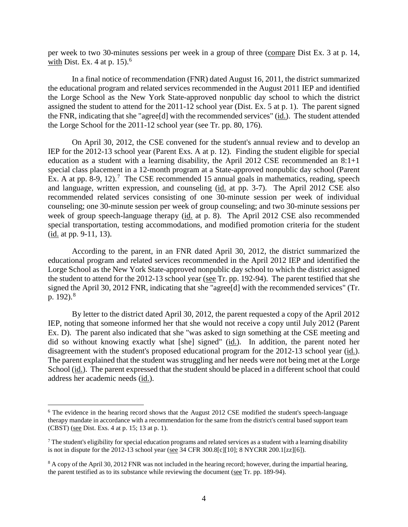per week to two 30-minutes sessions per week in a group of three (compare Dist Ex. 3 at p. 14, with Dist. Ex. 4 at p.  $15$ .<sup>6</sup>

In a final notice of recommendation (FNR) dated August 16, 2011, the district summarized the educational program and related services recommended in the August 2011 IEP and identified the Lorge School as the New York State-approved nonpublic day school to which the district assigned the student to attend for the 2011-12 school year (Dist. Ex. 5 at p. 1). The parent signed the FNR, indicating that she "agree[d] with the recommended services" (id.). The student attended the Lorge School for the 2011-12 school year (see Tr. pp. 80, 176).

On April 30, 2012, the CSE convened for the student's annual review and to develop an IEP for the 2012-13 school year (Parent Exs. A at p. 12). Finding the student eligible for special education as a student with a learning disability, the April 2012 CSE recommended an 8:1+1 special class placement in a 12-month program at a State-approved nonpublic day school (Parent Ex. A at pp. 8-9, 12).<sup>7</sup> The CSE recommended 15 annual goals in mathematics, reading, speech and language, written expression, and counseling (id. at pp. 3-7). The April 2012 CSE also recommended related services consisting of one 30-minute session per week of individual counseling; one 30-minute session per week of group counseling; and two 30-minute sessions per week of group speech-language therapy (id. at p. 8). The April 2012 CSE also recommended special transportation, testing accommodations, and modified promotion criteria for the student (id. at pp. 9-11, 13).

According to the parent, in an FNR dated April 30, 2012, the district summarized the educational program and related services recommended in the April 2012 IEP and identified the Lorge School as the New York State-approved nonpublic day school to which the district assigned the student to attend for the 2012-13 school year (see Tr. pp. 192-94). The parent testified that she signed the April 30, 2012 FNR, indicating that she "agree[d] with the recommended services" (Tr. p.  $192$ ).<sup>8</sup>

By letter to the district dated April 30, 2012, the parent requested a copy of the April 2012 IEP, noting that someone informed her that she would not receive a copy until July 2012 (Parent Ex. D). The parent also indicated that she "was asked to sign something at the CSE meeting and did so without knowing exactly what [she] signed" (id.). In addition, the parent noted her disagreement with the student's proposed educational program for the 2012-13 school year (id.). The parent explained that the student was struggling and her needs were not being met at the Lorge School (id.). The parent expressed that the student should be placed in a different school that could address her academic needs (id.).

<sup>&</sup>lt;sup>6</sup> The evidence in the hearing record shows that the August 2012 CSE modified the student's speech-language therapy mandate in accordance with a recommendation for the same from the district's central based support team (CBST) (see Dist. Exs. 4 at p. 15; 13 at p. 1).

 $<sup>7</sup>$  The student's eligibility for special education programs and related services as a student with a learning disability</sup> is not in dispute for the 2012-13 school year ( $\underline{see}$  34 CFR 300.8[c][10]; 8 NYCRR 200.1[zz][6]).

<sup>&</sup>lt;sup>8</sup> A copy of the April 30, 2012 FNR was not included in the hearing record; however, during the impartial hearing, the parent testified as to its substance while reviewing the document (see Tr. pp. 189-94).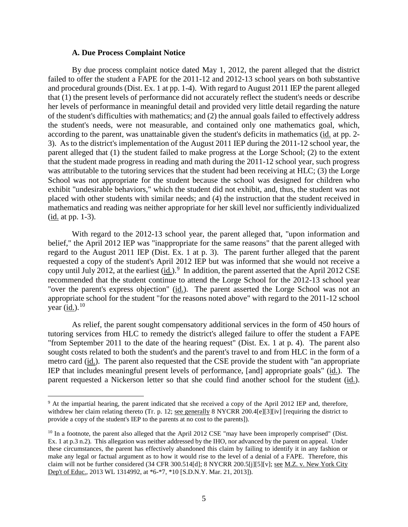#### **A. Due Process Complaint Notice**

By due process complaint notice dated May 1, 2012, the parent alleged that the district failed to offer the student a FAPE for the 2011-12 and 2012-13 school years on both substantive and procedural grounds (Dist. Ex. 1 at pp. 1-4). With regard to August 2011 IEP the parent alleged that (1) the present levels of performance did not accurately reflect the student's needs or describe her levels of performance in meaningful detail and provided very little detail regarding the nature of the student's difficulties with mathematics; and (2) the annual goals failed to effectively address the student's needs, were not measurable, and contained only one mathematics goal, which, according to the parent, was unattainable given the student's deficits in mathematics (id. at pp. 2- 3). As to the district's implementation of the August 2011 IEP during the 2011-12 school year, the parent alleged that (1) the student failed to make progress at the Lorge School; (2) to the extent that the student made progress in reading and math during the 2011-12 school year, such progress was attributable to the tutoring services that the student had been receiving at HLC; (3) the Lorge School was not appropriate for the student because the school was designed for children who exhibit "undesirable behaviors," which the student did not exhibit, and, thus, the student was not placed with other students with similar needs; and (4) the instruction that the student received in mathematics and reading was neither appropriate for her skill level nor sufficiently individualized (id. at pp. 1-3).

With regard to the 2012-13 school year, the parent alleged that, "upon information and belief," the April 2012 IEP was "inappropriate for the same reasons" that the parent alleged with regard to the August 2011 IEP (Dist. Ex. 1 at p. 3). The parent further alleged that the parent requested a copy of the student's April 2012 IEP but was informed that she would not receive a copy until July 2012, at the earliest  $(\underline{id})$ .<sup>9</sup> In addition, the parent asserted that the April 2012 CSE recommended that the student continue to attend the Lorge School for the 2012-13 school year "over the parent's express objection" (id.). The parent asserted the Lorge School was not an appropriate school for the student "for the reasons noted above" with regard to the 2011-12 school year (<u>id.</u>). <sup>10</sup>

As relief, the parent sought compensatory additional services in the form of 450 hours of tutoring services from HLC to remedy the district's alleged failure to offer the student a FAPE "from September 2011 to the date of the hearing request" (Dist. Ex. 1 at p. 4). The parent also sought costs related to both the student's and the parent's travel to and from HLC in the form of a metro card (id.). The parent also requested that the CSE provide the student with "an appropriate IEP that includes meaningful present levels of performance, [and] appropriate goals" (id.). The parent requested a Nickerson letter so that she could find another school for the student (id.).

<sup>&</sup>lt;sup>9</sup> At the impartial hearing, the parent indicated that she received a copy of the April 2012 IEP and, therefore, withdrew her claim relating thereto (Tr. p. 12; <u>see generally</u> 8 NYCRR 200.4[e][3][iv] [requiring the district to provide a copy of the student's IEP to the parents at no cost to the parents]).

<sup>&</sup>lt;sup>10</sup> In a footnote, the parent also alleged that the April 2012 CSE "may have been improperly comprised" (Dist. Ex. 1 at p.3 n.2). This allegation was neither addressed by the IHO, nor advanced by the parent on appeal. Under these circumstances, the parent has effectively abandoned this claim by failing to identify it in any fashion or make any legal or factual argument as to how it would rise to the level of a denial of a FAPE. Therefore, this claim will not be further considered (34 CFR 300.514[d]; 8 NYCRR 200.5[j][5][v]; see M.Z. v. New York City Dep't of Educ., 2013 WL 1314992, at \*6-\*7, \*10 [S.D.N.Y. Mar. 21, 2013]).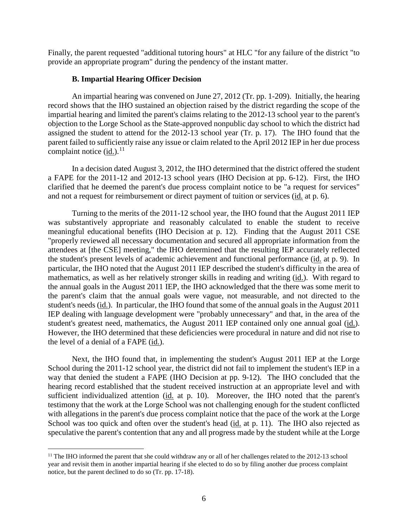Finally, the parent requested "additional tutoring hours" at HLC "for any failure of the district "to provide an appropriate program" during the pendency of the instant matter.

#### **B. Impartial Hearing Officer Decision**

An impartial hearing was convened on June 27, 2012 (Tr. pp. 1-209). Initially, the hearing record shows that the IHO sustained an objection raised by the district regarding the scope of the impartial hearing and limited the parent's claims relating to the 2012-13 school year to the parent's objection to the Lorge School as the State-approved nonpublic day school to which the district had assigned the student to attend for the 2012-13 school year (Tr. p. 17). The IHO found that the parent failed to sufficiently raise any issue or claim related to the April 2012 IEP in her due process complaint notice  $(id.)$ .<sup>11</sup>

In a decision dated August 3, 2012, the IHO determined that the district offered the student a FAPE for the 2011-12 and 2012-13 school years (IHO Decision at pp. 6-12). First, the IHO clarified that he deemed the parent's due process complaint notice to be "a request for services" and not a request for reimbursement or direct payment of tuition or services (id. at p. 6).

Turning to the merits of the 2011-12 school year, the IHO found that the August 2011 IEP was substantively appropriate and reasonably calculated to enable the student to receive meaningful educational benefits (IHO Decision at p. 12). Finding that the August 2011 CSE "properly reviewed all necessary documentation and secured all appropriate information from the attendees at [the CSE] meeting," the IHO determined that the resulting IEP accurately reflected the student's present levels of academic achievement and functional performance (id. at p. 9). In particular, the IHO noted that the August 2011 IEP described the student's difficulty in the area of mathematics, as well as her relatively stronger skills in reading and writing (id.). With regard to the annual goals in the August 2011 IEP, the IHO acknowledged that the there was some merit to the parent's claim that the annual goals were vague, not measurable, and not directed to the student's needs (id.). In particular, the IHO found that some of the annual goals in the August 2011 IEP dealing with language development were "probably unnecessary" and that, in the area of the student's greatest need, mathematics, the August 2011 IEP contained only one annual goal (id.). However, the IHO determined that these deficiencies were procedural in nature and did not rise to the level of a denial of a FAPE (id.).

Next, the IHO found that, in implementing the student's August 2011 IEP at the Lorge School during the 2011-12 school year, the district did not fail to implement the student's IEP in a way that denied the student a FAPE (IHO Decision at pp. 9-12). The IHO concluded that the hearing record established that the student received instruction at an appropriate level and with sufficient individualized attention (id. at p. 10). Moreover, the IHO noted that the parent's testimony that the work at the Lorge School was not challenging enough for the student conflicted with allegations in the parent's due process complaint notice that the pace of the work at the Lorge School was too quick and often over the student's head (id. at p. 11). The IHO also rejected as speculative the parent's contention that any and all progress made by the student while at the Lorge

<sup>&</sup>lt;sup>11</sup> The IHO informed the parent that she could withdraw any or all of her challenges related to the 2012-13 school year and revisit them in another impartial hearing if she elected to do so by filing another due process complaint notice, but the parent declined to do so (Tr. pp. 17-18).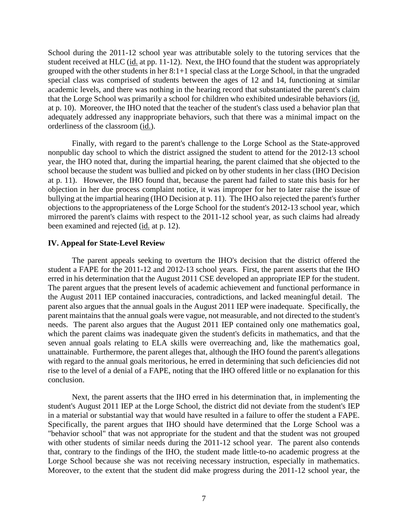School during the 2011-12 school year was attributable solely to the tutoring services that the student received at HLC (id. at pp. 11-12). Next, the IHO found that the student was appropriately grouped with the other students in her 8:1+1 special class at the Lorge School, in that the ungraded special class was comprised of students between the ages of 12 and 14, functioning at similar academic levels, and there was nothing in the hearing record that substantiated the parent's claim that the Lorge School was primarily a school for children who exhibited undesirable behaviors (id. at p. 10). Moreover, the IHO noted that the teacher of the student's class used a behavior plan that adequately addressed any inappropriate behaviors, such that there was a minimal impact on the orderliness of the classroom (id.).

Finally, with regard to the parent's challenge to the Lorge School as the State-approved nonpublic day school to which the district assigned the student to attend for the 2012-13 school year, the IHO noted that, during the impartial hearing, the parent claimed that she objected to the school because the student was bullied and picked on by other students in her class (IHO Decision at p. 11). However, the IHO found that, because the parent had failed to state this basis for her objection in her due process complaint notice, it was improper for her to later raise the issue of bullying at the impartial hearing (IHO Decision at p. 11). The IHO also rejected the parent's further objections to the appropriateness of the Lorge School for the student's 2012-13 school year, which mirrored the parent's claims with respect to the 2011-12 school year, as such claims had already been examined and rejected (id. at p. 12).

#### **IV. Appeal for State-Level Review**

The parent appeals seeking to overturn the IHO's decision that the district offered the student a FAPE for the 2011-12 and 2012-13 school years. First, the parent asserts that the IHO erred in his determination that the August 2011 CSE developed an appropriate IEP for the student. The parent argues that the present levels of academic achievement and functional performance in the August 2011 IEP contained inaccuracies, contradictions, and lacked meaningful detail. The parent also argues that the annual goals in the August 2011 IEP were inadequate. Specifically, the parent maintains that the annual goals were vague, not measurable, and not directed to the student's needs. The parent also argues that the August 2011 IEP contained only one mathematics goal, which the parent claims was inadequate given the student's deficits in mathematics, and that the seven annual goals relating to ELA skills were overreaching and, like the mathematics goal, unattainable. Furthermore, the parent alleges that, although the IHO found the parent's allegations with regard to the annual goals meritorious, he erred in determining that such deficiencies did not rise to the level of a denial of a FAPE, noting that the IHO offered little or no explanation for this conclusion.

Next, the parent asserts that the IHO erred in his determination that, in implementing the student's August 2011 IEP at the Lorge School, the district did not deviate from the student's IEP in a material or substantial way that would have resulted in a failure to offer the student a FAPE. Specifically, the parent argues that IHO should have determined that the Lorge School was a "behavior school" that was not appropriate for the student and that the student was not grouped with other students of similar needs during the 2011-12 school year. The parent also contends that, contrary to the findings of the IHO, the student made little-to-no academic progress at the Lorge School because she was not receiving necessary instruction, especially in mathematics. Moreover, to the extent that the student did make progress during the 2011-12 school year, the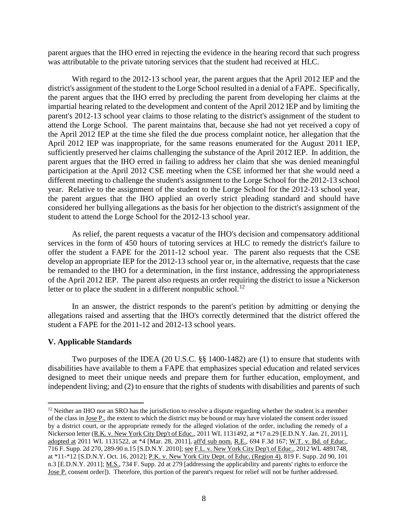parent argues that the IHO erred in rejecting the evidence in the hearing record that such progress was attributable to the private tutoring services that the student had received at HLC.

With regard to the 2012-13 school year, the parent argues that the April 2012 IEP and the district's assignment of the student to the Lorge School resulted in a denial of a FAPE. Specifically, the parent argues that the IHO erred by precluding the parent from developing her claims at the impartial hearing related to the development and content of the April 2012 IEP and by limiting the parent's 2012-13 school year claims to those relating to the district's assignment of the student to attend the Lorge School. The parent maintains that, because she had not yet received a copy of the April 2012 IEP at the time she filed the due process complaint notice, her allegation that the April 2012 IEP was inappropriate, for the same reasons enumerated for the August 2011 IEP, sufficiently preserved her claims challenging the substance of the April 2012 IEP. In addition, the parent argues that the IHO erred in failing to address her claim that she was denied meaningful participation at the April 2012 CSE meeting when the CSE informed her that she would need a different meeting to challenge the student's assignment to the Lorge School for the 2012-13 school year. Relative to the assignment of the student to the Lorge School for the 2012-13 school year, the parent argues that the IHO applied an overly strict pleading standard and should have considered her bullying allegations as the basis for her objection to the district's assignment of the student to attend the Lorge School for the 2012-13 school year.

As relief, the parent requests a vacatur of the IHO's decision and compensatory additional services in the form of 450 hours of tutoring services at HLC to remedy the district's failure to offer the student a FAPE for the 2011-12 school year. The parent also requests that the CSE develop an appropriate IEP for the 2012-13 school year or, in the alternative, requests that the case be remanded to the IHO for a determination, in the first instance, addressing the appropriateness of the April 2012 IEP. The parent also requests an order requiring the district to issue a Nickerson letter or to place the student in a different nonpublic school.<sup>12</sup>

In an answer, the district responds to the parent's petition by admitting or denying the allegations raised and asserting that the IHO's correctly determined that the district offered the student a FAPE for the 2011-12 and 2012-13 school years.

## **V. Applicable Standards**

Two purposes of the IDEA (20 U.S.C. §§ 1400-1482) are (1) to ensure that students with disabilities have available to them a FAPE that emphasizes special education and related services designed to meet their unique needs and prepare them for further education, employment, and independent living; and (2) to ensure that the rights of students with disabilities and parents of such

 $12$  Neither an IHO nor an SRO has the jurisdiction to resolve a dispute regarding whether the student is a member of the class in Jose P., the extent to which the district may be bound or may have violated the consent order issued by a district court, or the appropriate remedy for the alleged violation of the order, including the remedy of a Nickerson letter (R.K. v. New York City Dep't of Educ., 2011 WL 1131492, at \*17 n.29 [E.D.N.Y. Jan. 21, 2011], adopted at 2011 WL 1131522, at \*4 [Mar. 28, 2011], aff'd sub nom. R.E., 694 F.3d 167; W.T. v. Bd. of Educ., 716 F. Supp. 2d 270, 289-90 n.15 [S.D.N.Y. 2010]; see F.L. v. New York City Dep't of Educ., 2012 WL 4891748, at \*11-\*12 [S.D.N.Y. Oct. 16, 2012]; P.K. v. New York City Dept. of Educ. (Region 4), 819 F. Supp. 2d 90, 101 n.3 [E.D.N.Y. 2011]; M.S., 734 F. Supp. 2d at 279 [addressing the applicability and parents' rights to enforce the Jose P. consent order]). Therefore, this portion of the parent's request for relief will not be further addressed.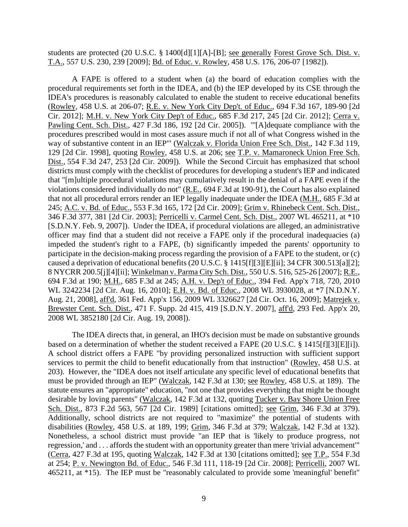students are protected (20 U.S.C. § 1400[d][1][A]-[B]; see generally Forest Grove Sch. Dist. v. T.A., 557 U.S. 230, 239 [2009]; Bd. of Educ. v. Rowley, 458 U.S. 176, 206-07 [1982]).

A FAPE is offered to a student when (a) the board of education complies with the procedural requirements set forth in the IDEA, and (b) the IEP developed by its CSE through the IDEA's procedures is reasonably calculated to enable the student to receive educational benefits (Rowley, 458 U.S. at 206-07; R.E. v. New York City Dep't. of Educ., 694 F.3d 167, 189-90 [2d Cir. 2012]; M.H. v. New York City Dep't of Educ., 685 F.3d 217, 245 [2d Cir. 2012]; Cerra v. Pawling Cent. Sch. Dist., 427 F.3d 186, 192 [2d Cir. 2005]). "'[A]dequate compliance with the procedures prescribed would in most cases assure much if not all of what Congress wished in the way of substantive content in an IEP'" (Walczak v. Florida Union Free Sch. Dist., 142 F.3d 119, 129 [2d Cir. 1998], quoting Rowley, 458 U.S. at 206; see T.P. v. Mamaroneck Union Free Sch. Dist., 554 F.3d 247, 253 [2d Cir. 2009]). While the Second Circuit has emphasized that school districts must comply with the checklist of procedures for developing a student's IEP and indicated that "[m]ultiple procedural violations may cumulatively result in the denial of a FAPE even if the violations considered individually do not" (R.E., 694 F.3d at 190-91), the Court has also explained that not all procedural errors render an IEP legally inadequate under the IDEA (M.H., 685 F.3d at 245; A.C. v. Bd. of Educ., 553 F.3d 165, 172 [2d Cir. 2009]; Grim v. Rhinebeck Cent. Sch. Dist., 346 F.3d 377, 381 [2d Cir. 2003]; Perricelli v. Carmel Cent. Sch. Dist., 2007 WL 465211, at \*10 [S.D.N.Y. Feb. 9, 2007]). Under the IDEA, if procedural violations are alleged, an administrative officer may find that a student did not receive a FAPE only if the procedural inadequacies (a) impeded the student's right to a FAPE, (b) significantly impeded the parents' opportunity to participate in the decision-making process regarding the provision of a FAPE to the student, or (c) caused a deprivation of educational benefits (20 U.S.C. § 1415[f][3][E][ii]; 34 CFR 300.513[a][2]; 8 NYCRR 200.5[j][4][ii]; Winkelman v. Parma City Sch. Dist., 550 U.S. 516, 525-26 [2007]; R.E., 694 F.3d at 190; M.H., 685 F.3d at 245; A.H. v. Dep't of Educ., 394 Fed. App'x 718, 720, 2010 WL 3242234 [2d Cir. Aug. 16, 2010]; E.H. v. Bd. of Educ., 2008 WL 3930028, at \*7 [N.D.N.Y. Aug. 21, 2008], aff'd, 361 Fed. App'x 156, 2009 WL 3326627 [2d Cir. Oct. 16, 2009]; Matrejek v. Brewster Cent. Sch. Dist., 471 F. Supp. 2d 415, 419 [S.D.N.Y. 2007], aff'd, 293 Fed. App'x 20, 2008 WL 3852180 [2d Cir. Aug. 19, 2008]).

The IDEA directs that, in general, an IHO's decision must be made on substantive grounds based on a determination of whether the student received a FAPE (20 U.S.C. § 1415[f][3][E][i]). A school district offers a FAPE "by providing personalized instruction with sufficient support services to permit the child to benefit educationally from that instruction" (Rowley, 458 U.S. at 203). However, the "IDEA does not itself articulate any specific level of educational benefits that must be provided through an IEP" (Walczak, 142 F.3d at 130; see Rowley, 458 U.S. at 189). The statute ensures an "appropriate" education, "not one that provides everything that might be thought desirable by loving parents" (Walczak, 142 F.3d at 132, quoting Tucker v. Bay Shore Union Free Sch. Dist., 873 F.2d 563, 567 [2d Cir. 1989] [citations omitted]; see Grim, 346 F.3d at 379). Additionally, school districts are not required to "maximize" the potential of students with disabilities (Rowley, 458 U.S. at 189, 199; Grim, 346 F.3d at 379; Walczak, 142 F.3d at 132). Nonetheless, a school district must provide "an IEP that is 'likely to produce progress, not regression,' and . . . affords the student with an opportunity greater than mere 'trivial advancement'" (Cerra, 427 F.3d at 195, quoting Walczak, 142 F.3d at 130 [citations omitted]; see T.P., 554 F.3d at 254; P. v. Newington Bd. of Educ., 546 F.3d 111, 118-19 [2d Cir. 2008]; Perricelli, 2007 WL 465211, at \*15). The IEP must be "reasonably calculated to provide some 'meaningful' benefit"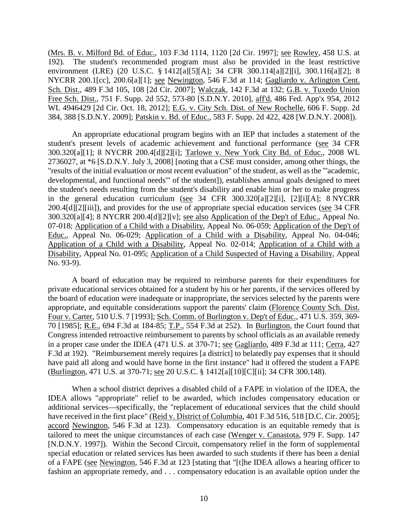(Mrs. B. v. Milford Bd. of Educ., 103 F.3d 1114, 1120 [2d Cir. 1997]; see Rowley, 458 U.S. at 192). The student's recommended program must also be provided in the least restrictive environment (LRE) (20 U.S.C. § 1412[a][5][A]; 34 CFR 300.114[a][2][i], 300.116[a][2]; 8 NYCRR 200.1[cc], 200.6[a][1]; <u>see Newington</u>, 546 F.3d at 114; Gagliardo v. Arlington Cent. Sch. Dist., 489 F.3d 105, 108 [2d Cir. 2007]; Walczak, 142 F.3d at 132; G.B. v. Tuxedo Union Free Sch. Dist., 751 F. Supp. 2d 552, 573-80 [S.D.N.Y. 2010], aff'd, 486 Fed. App'x 954, 2012 WL 4946429 [2d Cir. Oct. 18, 2012]; E.G. v. City Sch. Dist. of New Rochelle, 606 F. Supp. 2d 384, 388 [S.D.N.Y. 2009]; Patskin v. Bd. of Educ., 583 F. Supp. 2d 422, 428 [W.D.N.Y. 2008]).

An appropriate educational program begins with an IEP that includes a statement of the student's present levels of academic achievement and functional performance (see 34 CFR 300.320[a][1]; 8 NYCRR 200.4[d][2][i]; Tarlowe v. New York City Bd. of Educ., 2008 WL 2736027, at \*6 [S.D.N.Y. July 3, 2008] [noting that a CSE must consider, among other things, the "results of the initial evaluation or most recent evaluation" of the student, as well as the "'academic, developmental, and functional needs'" of the student]), establishes annual goals designed to meet the student's needs resulting from the student's disability and enable him or her to make progress in the general education curriculum (see 34 CFR 300.320[a][2][i], [2][i][A]; 8 NYCRR 200.4[d][2][iii]), and provides for the use of appropriate special education services (see 34 CFR 300.320[a][4]; 8 NYCRR 200.4[d][2][v]; see also Application of the Dep't of Educ., Appeal No. 07-018; Application of a Child with a Disability, Appeal No. 06-059; Application of the Dep't of Educ., Appeal No. 06-029; Application of a Child with a Disability, Appeal No. 04-046; Application of a Child with a Disability, Appeal No. 02-014; Application of a Child with a Disability, Appeal No. 01-095; Application of a Child Suspected of Having a Disability, Appeal No. 93-9).

A board of education may be required to reimburse parents for their expenditures for private educational services obtained for a student by his or her parents, if the services offered by the board of education were inadequate or inappropriate, the services selected by the parents were appropriate, and equitable considerations support the parents' claim (Florence County Sch. Dist. Four v. Carter, 510 U.S. 7 [1993]; Sch. Comm. of Burlington v. Dep't of Educ., 471 U.S. 359, 369- 70 [1985]; R.E., 694 F.3d at 184-85; T.P., 554 F.3d at 252). In Burlington, the Court found that Congress intended retroactive reimbursement to parents by school officials as an available remedy in a proper case under the IDEA (471 U.S. at 370-71; see Gagliardo, 489 F.3d at 111; Cerra, 427 F.3d at 192). "Reimbursement merely requires [a district] to belatedly pay expenses that it should have paid all along and would have borne in the first instance" had it offered the student a FAPE (Burlington, 471 U.S. at 370-71; see 20 U.S.C. § 1412[a][10][C][ii]; 34 CFR 300.148).

When a school district deprives a disabled child of a FAPE in violation of the IDEA, the IDEA allows "appropriate" relief to be awarded, which includes compensatory education or additional services—specifically, the "replacement of educational services that the child should have received in the first place" (Reid v. District of Columbia, 401 F.3d 516, 518 [D.C. Cir. 2005]; accord Newington, 546 F.3d at 123). Compensatory education is an equitable remedy that is tailored to meet the unique circumstances of each case (Wenger v. Canastota, 979 F. Supp. 147 [N.D.N.Y. 1997]). Within the Second Circuit, compensatory relief in the form of supplemental special education or related services has been awarded to such students if there has been a denial of a FAPE (see Newington, 546 F.3d at 123 [stating that "[t]he IDEA allows a hearing officer to fashion an appropriate remedy, and . . . compensatory education is an available option under the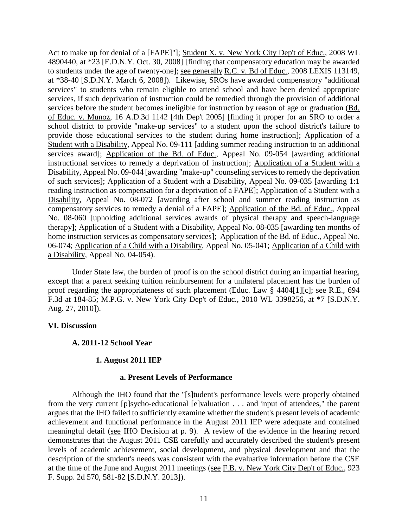Act to make up for denial of a [FAPE]"]; Student X. v. New York City Dep't of Educ., 2008 WL 4890440, at \*23 [E.D.N.Y. Oct. 30, 2008] [finding that compensatory education may be awarded to students under the age of twenty-one]; see generally R.C. v. Bd of Educ., 2008 LEXIS 113149, at \*38-40 [S.D.N.Y. March 6, 2008]). Likewise, SROs have awarded compensatory "additional services" to students who remain eligible to attend school and have been denied appropriate services, if such deprivation of instruction could be remedied through the provision of additional services before the student becomes ineligible for instruction by reason of age or graduation (Bd. of Educ. v. Munoz, 16 A.D.3d 1142 [4th Dep't 2005] [finding it proper for an SRO to order a school district to provide "make-up services" to a student upon the school district's failure to provide those educational services to the student during home instruction]; Application of a Student with a Disability, Appeal No. 09-111 [adding summer reading instruction to an additional services award]; Application of the Bd. of Educ., Appeal No. 09-054 [awarding additional instructional services to remedy a deprivation of instruction]; Application of a Student with a Disability, Appeal No. 09-044 [awarding "make-up" counseling services to remedy the deprivation of such services]; Application of a Student with a Disability, Appeal No. 09-035 [awarding 1:1 reading instruction as compensation for a deprivation of a FAPE]; Application of a Student with a Disability, Appeal No. 08-072 [awarding after school and summer reading instruction as compensatory services to remedy a denial of a FAPE]; Application of the Bd. of Educ., Appeal No. 08-060 [upholding additional services awards of physical therapy and speech-language therapy]; Application of a Student with a Disability, Appeal No. 08-035 [awarding ten months of home instruction services as compensatory services]; Application of the Bd. of Educ., Appeal No. 06-074; Application of a Child with a Disability, Appeal No. 05-041; Application of a Child with a Disability, Appeal No. 04-054).

Under State law, the burden of proof is on the school district during an impartial hearing, except that a parent seeking tuition reimbursement for a unilateral placement has the burden of proof regarding the appropriateness of such placement (Educ. Law § 4404[1][c]; see R.E., 694 F.3d at 184-85; M.P.G. v. New York City Dep't of Educ., 2010 WL 3398256, at \*7 [S.D.N.Y. Aug. 27, 2010]).

## **VI. Discussion**

## **A. 2011-12 School Year**

## **1. August 2011 IEP**

## **a. Present Levels of Performance**

Although the IHO found that the "[s]tudent's performance levels were properly obtained from the very current [p]sycho-educational [e]valuation . . . and input of attendees," the parent argues that the IHO failed to sufficiently examine whether the student's present levels of academic achievement and functional performance in the August 2011 IEP were adequate and contained meaningful detail (see IHO Decision at p. 9). A review of the evidence in the hearing record demonstrates that the August 2011 CSE carefully and accurately described the student's present levels of academic achievement, social development, and physical development and that the description of the student's needs was consistent with the evaluative information before the CSE at the time of the June and August 2011 meetings (see F.B. v. New York City Dep't of Educ., 923 F. Supp. 2d 570, 581-82 [S.D.N.Y. 2013]).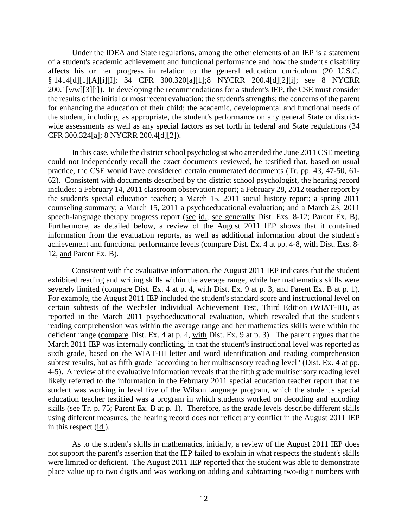Under the IDEA and State regulations, among the other elements of an IEP is a statement of a student's academic achievement and functional performance and how the student's disability affects his or her progress in relation to the general education curriculum (20 U.S.C. § 1414[d][1][A][i][I]; 34 CFR 300.320[a][1];8 NYCRR 200.4[d][2][i]; see 8 NYCRR 200.1[ww][3][i]). In developing the recommendations for a student's IEP, the CSE must consider the results of the initial or most recent evaluation; the student's strengths; the concerns of the parent for enhancing the education of their child; the academic, developmental and functional needs of the student, including, as appropriate, the student's performance on any general State or districtwide assessments as well as any special factors as set forth in federal and State regulations (34 CFR 300.324[a]; 8 NYCRR 200.4[d][2]).

In this case, while the district school psychologist who attended the June 2011 CSE meeting could not independently recall the exact documents reviewed, he testified that, based on usual practice, the CSE would have considered certain enumerated documents (Tr. pp. 43, 47-50, 61- 62). Consistent with documents described by the district school psychologist, the hearing record includes: a February 14, 2011 classroom observation report; a February 28, 2012 teacher report by the student's special education teacher; a March 15, 2011 social history report; a spring 2011 counseling summary; a March 15, 2011 a psychoeducational evaluation; and a March 23, 2011 speech-language therapy progress report (see id.; see generally Dist. Exs. 8-12; Parent Ex. B). Furthermore, as detailed below, a review of the August 2011 IEP shows that it contained information from the evaluation reports, as well as additional information about the student's achievement and functional performance levels (compare Dist. Ex. 4 at pp. 4-8, with Dist. Exs. 8- 12, and Parent Ex. B).

Consistent with the evaluative information, the August 2011 IEP indicates that the student exhibited reading and writing skills within the average range, while her mathematics skills were severely limited (compare Dist. Ex. 4 at p. 4, with Dist. Ex. 9 at p. 3, and Parent Ex. B at p. 1). For example, the August 2011 IEP included the student's standard score and instructional level on certain subtests of the Wechsler Individual Achievement Test, Third Edition (WIAT-III), as reported in the March 2011 psychoeducational evaluation, which revealed that the student's reading comprehension was within the average range and her mathematics skills were within the deficient range (compare Dist. Ex. 4 at p. 4, with Dist. Ex. 9 at p. 3). The parent argues that the March 2011 IEP was internally conflicting, in that the student's instructional level was reported as sixth grade, based on the WIAT-III letter and word identification and reading comprehension subtest results, but as fifth grade "according to her multisensory reading level" (Dist. Ex. 4 at pp. 4-5). A review of the evaluative information reveals that the fifth grade multisensory reading level likely referred to the information in the February 2011 special education teacher report that the student was working in level five of the Wilson language program, which the student's special education teacher testified was a program in which students worked on decoding and encoding skills (see Tr. p. 75; Parent Ex. B at p. 1). Therefore, as the grade levels describe different skills using different measures, the hearing record does not reflect any conflict in the August 2011 IEP in this respect (id.).

As to the student's skills in mathematics, initially, a review of the August 2011 IEP does not support the parent's assertion that the IEP failed to explain in what respects the student's skills were limited or deficient. The August 2011 IEP reported that the student was able to demonstrate place value up to two digits and was working on adding and subtracting two-digit numbers with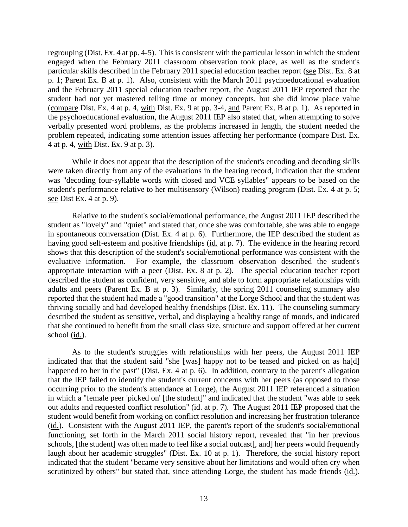regrouping (Dist. Ex. 4 at pp. 4-5). This is consistent with the particular lesson in which the student engaged when the February 2011 classroom observation took place, as well as the student's particular skills described in the February 2011 special education teacher report (see Dist. Ex. 8 at p. 1; Parent Ex. B at p. 1). Also, consistent with the March 2011 psychoeducational evaluation and the February 2011 special education teacher report, the August 2011 IEP reported that the student had not yet mastered telling time or money concepts, but she did know place value (compare Dist. Ex. 4 at p. 4, with Dist. Ex. 9 at pp. 3-4, and Parent Ex. B at p. 1). As reported in the psychoeducational evaluation, the August 2011 IEP also stated that, when attempting to solve verbally presented word problems, as the problems increased in length, the student needed the problem repeated, indicating some attention issues affecting her performance (compare Dist. Ex. 4 at p. 4, with Dist. Ex. 9 at p. 3).

While it does not appear that the description of the student's encoding and decoding skills were taken directly from any of the evaluations in the hearing record, indication that the student was "decoding four-syllable words with closed and VCE syllables" appears to be based on the student's performance relative to her multisensory (Wilson) reading program (Dist. Ex. 4 at p. 5; see Dist Ex. 4 at p. 9).

Relative to the student's social/emotional performance, the August 2011 IEP described the student as "lovely" and "quiet" and stated that, once she was comfortable, she was able to engage in spontaneous conversation (Dist. Ex. 4 at p. 6). Furthermore, the IEP described the student as having good self-esteem and positive friendships (id. at p. 7). The evidence in the hearing record shows that this description of the student's social/emotional performance was consistent with the evaluative information. For example, the classroom observation described the student's appropriate interaction with a peer (Dist. Ex. 8 at p. 2). The special education teacher report described the student as confident, very sensitive, and able to form appropriate relationships with adults and peers (Parent Ex. B at p. 3). Similarly, the spring 2011 counseling summary also reported that the student had made a "good transition" at the Lorge School and that the student was thriving socially and had developed healthy friendships (Dist. Ex. 11). The counseling summary described the student as sensitive, verbal, and displaying a healthy range of moods, and indicated that she continued to benefit from the small class size, structure and support offered at her current school (id.).

As to the student's struggles with relationships with her peers, the August 2011 IEP indicated that that the student said "she [was] happy not to be teased and picked on as ha[d] happened to her in the past" (Dist. Ex. 4 at p. 6). In addition, contrary to the parent's allegation that the IEP failed to identify the student's current concerns with her peers (as opposed to those occurring prior to the student's attendance at Lorge), the August 2011 IEP referenced a situation in which a "female peer 'picked on' [the student]" and indicated that the student "was able to seek out adults and requested conflict resolution" (id. at p. 7). The August 2011 IEP proposed that the student would benefit from working on conflict resolution and increasing her frustration tolerance (id.). Consistent with the August 2011 IEP, the parent's report of the student's social/emotional functioning, set forth in the March 2011 social history report, revealed that "in her previous schools, [the student] was often made to feel like a social outcast[, and] her peers would frequently laugh about her academic struggles" (Dist. Ex. 10 at p. 1). Therefore, the social history report indicated that the student "became very sensitive about her limitations and would often cry when scrutinized by others" but stated that, since attending Lorge, the student has made friends (id.).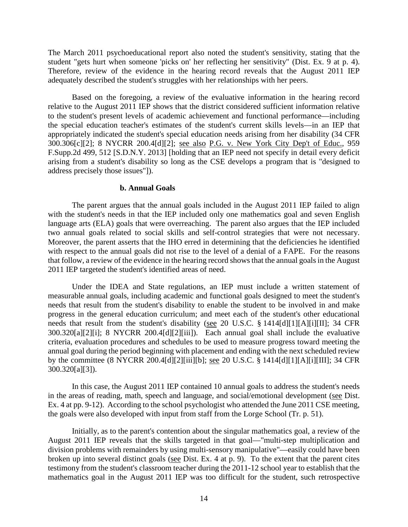The March 2011 psychoeducational report also noted the student's sensitivity, stating that the student "gets hurt when someone 'picks on' her reflecting her sensitivity" (Dist. Ex. 9 at p. 4). Therefore, review of the evidence in the hearing record reveals that the August 2011 IEP adequately described the student's struggles with her relationships with her peers.

Based on the foregoing, a review of the evaluative information in the hearing record relative to the August 2011 IEP shows that the district considered sufficient information relative to the student's present levels of academic achievement and functional performance—including the special education teacher's estimates of the student's current skills levels—in an IEP that appropriately indicated the student's special education needs arising from her disability (34 CFR 300.306[c][2]; 8 NYCRR 200.4[d][2]; see also P.G. v. New York City Dep't of Educ., 959 F.Supp.2d 499, 512 [S.D.N.Y. 2013] [holding that an IEP need not specify in detail every deficit arising from a student's disability so long as the CSE develops a program that is "designed to address precisely those issues"]).

#### **b. Annual Goals**

The parent argues that the annual goals included in the August 2011 IEP failed to align with the student's needs in that the IEP included only one mathematics goal and seven English language arts (ELA) goals that were overreaching. The parent also argues that the IEP included two annual goals related to social skills and self-control strategies that were not necessary. Moreover, the parent asserts that the IHO erred in determining that the deficiencies he identified with respect to the annual goals did not rise to the level of a denial of a FAPE. For the reasons that follow, a review of the evidence in the hearing record shows that the annual goals in the August 2011 IEP targeted the student's identified areas of need.

Under the IDEA and State regulations, an IEP must include a written statement of measurable annual goals, including academic and functional goals designed to meet the student's needs that result from the student's disability to enable the student to be involved in and make progress in the general education curriculum; and meet each of the student's other educational needs that result from the student's disability (see 20 U.S.C. § 1414[d][1][A][i][II]; 34 CFR 300.320[a][2][i]; 8 NYCRR 200.4[d][2][iii]). Each annual goal shall include the evaluative criteria, evaluation procedures and schedules to be used to measure progress toward meeting the annual goal during the period beginning with placement and ending with the next scheduled review by the committee (8 NYCRR 200.4[d][2][iii][b]; <u>see</u> 20 U.S.C. § 1414[d][1][A][i][III]; 34 CFR 300.320[a][3]).

In this case, the August 2011 IEP contained 10 annual goals to address the student's needs in the areas of reading, math, speech and language, and social/emotional development (see Dist. Ex. 4 at pp. 9-12). According to the school psychologist who attended the June 2011 CSE meeting, the goals were also developed with input from staff from the Lorge School (Tr. p. 51).

Initially, as to the parent's contention about the singular mathematics goal, a review of the August 2011 IEP reveals that the skills targeted in that goal—"multi-step multiplication and division problems with remainders by using multi-sensory manipulative"—easily could have been broken up into several distinct goals (see Dist. Ex. 4 at p. 9). To the extent that the parent cites testimony from the student's classroom teacher during the 2011-12 school year to establish that the mathematics goal in the August 2011 IEP was too difficult for the student, such retrospective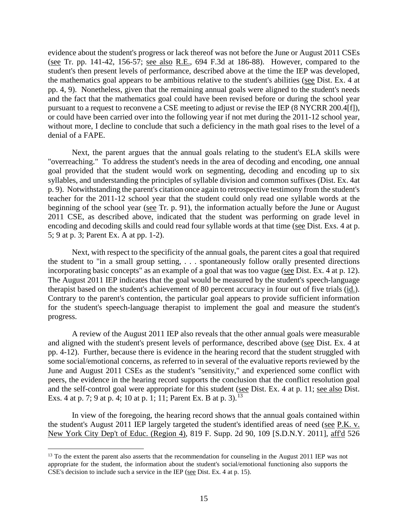evidence about the student's progress or lack thereof was not before the June or August 2011 CSEs (see Tr. pp. 141-42, 156-57; see also R.E., 694 F.3d at 186-88). However, compared to the student's then present levels of performance, described above at the time the IEP was developed, the mathematics goal appears to be ambitious relative to the student's abilities (see Dist. Ex. 4 at pp. 4, 9). Nonetheless, given that the remaining annual goals were aligned to the student's needs and the fact that the mathematics goal could have been revised before or during the school year pursuant to a request to reconvene a CSE meeting to adjust or revise the IEP (8 NYCRR 200.4[f]), or could have been carried over into the following year if not met during the 2011-12 school year, without more, I decline to conclude that such a deficiency in the math goal rises to the level of a denial of a FAPE.

Next, the parent argues that the annual goals relating to the student's ELA skills were "overreaching." To address the student's needs in the area of decoding and encoding, one annual goal provided that the student would work on segmenting, decoding and encoding up to six syllables, and understanding the principles of syllable division and common suffixes (Dist. Ex. 4at p. 9). Notwithstanding the parent's citation once again to retrospective testimony from the student's teacher for the 2011-12 school year that the student could only read one syllable words at the beginning of the school year (see Tr. p. 91), the information actually before the June or August 2011 CSE, as described above, indicated that the student was performing on grade level in encoding and decoding skills and could read four syllable words at that time (see Dist. Exs. 4 at p. 5; 9 at p. 3; Parent Ex. A at pp. 1-2).

Next, with respect to the specificity of the annual goals, the parent cites a goal that required the student to "in a small group setting, . . . spontaneously follow orally presented directions incorporating basic concepts" as an example of a goal that was too vague (see Dist. Ex. 4 at p. 12). The August 2011 IEP indicates that the goal would be measured by the student's speech-language therapist based on the student's achievement of 80 percent accuracy in four out of five trials (id.). Contrary to the parent's contention, the particular goal appears to provide sufficient information for the student's speech-language therapist to implement the goal and measure the student's progress.

A review of the August 2011 IEP also reveals that the other annual goals were measurable and aligned with the student's present levels of performance, described above (see Dist. Ex. 4 at pp. 4-12). Further, because there is evidence in the hearing record that the student struggled with some social/emotional concerns, as referred to in several of the evaluative reports reviewed by the June and August 2011 CSEs as the student's "sensitivity," and experienced some conflict with peers, the evidence in the hearing record supports the conclusion that the conflict resolution goal and the self-control goal were appropriate for this student (see Dist. Ex. 4 at p. 11; see also Dist. Exs. 4 at p. 7; 9 at p. 4; 10 at p. 1; 11; Parent Ex. B at p. 3).<sup>13</sup>

In view of the foregoing, the hearing record shows that the annual goals contained within the student's August 2011 IEP largely targeted the student's identified areas of need (see P.K. v. New York City Dep't of Educ. (Region 4), 819 F. Supp. 2d 90, 109 [S.D.N.Y. 2011], aff'd 526

<sup>&</sup>lt;sup>13</sup> To the extent the parent also asserts that the recommendation for counseling in the August 2011 IEP was not appropriate for the student, the information about the student's social/emotional functioning also supports the CSE's decision to include such a service in the IEP (see Dist. Ex. 4 at p. 15).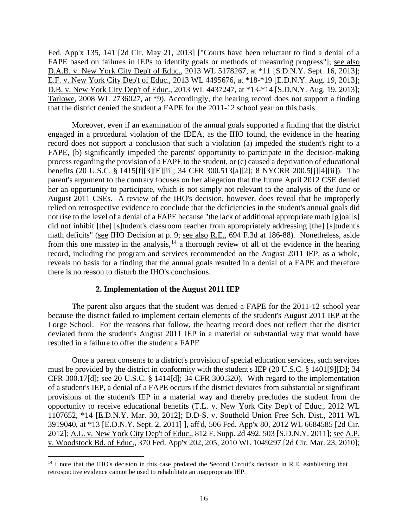Fed. App'x 135, 141 [2d Cir. May 21, 2013] ["Courts have been reluctant to find a denial of a FAPE based on failures in IEPs to identify goals or methods of measuring progress"]; see also D.A.B. v. New York City Dep't of Educ., 2013 WL 5178267, at \*11 [S.D.N.Y. Sept. 16, 2013]; E.F. v. New York City Dep't of Educ., 2013 WL 4495676, at \*18-\*19 [E.D.N.Y. Aug. 19, 2013]; D.B. v. New York City Dep't of Educ., 2013 WL 4437247, at \*13-\*14 [S.D.N.Y. Aug. 19, 2013]; Tarlowe, 2008 WL 2736027, at \*9). Accordingly, the hearing record does not support a finding that the district denied the student a FAPE for the 2011-12 school year on this basis.

Moreover, even if an examination of the annual goals supported a finding that the district engaged in a procedural violation of the IDEA, as the IHO found, the evidence in the hearing record does not support a conclusion that such a violation (a) impeded the student's right to a FAPE, (b) significantly impeded the parents' opportunity to participate in the decision-making process regarding the provision of a FAPE to the student, or (c) caused a deprivation of educational benefits (20 U.S.C. § 1415[f][3][E][ii]; 34 CFR 300.513[a][2]; 8 NYCRR 200.5[j][4][ii]). The parent's argument to the contrary focuses on her allegation that the future April 2012 CSE denied her an opportunity to participate, which is not simply not relevant to the analysis of the June or August 2011 CSEs. A review of the IHO's decision, however, does reveal that he improperly relied on retrospective evidence to conclude that the deficiencies in the student's annual goals did not rise to the level of a denial of a FAPE because "the lack of additional appropriate math [g]oal[s] did not inhibit [the] [s]tudent's classroom teacher from appropriately addressing [the] [s]tudent's math deficits" (see IHO Decision at p. 9; see also R.E., 694 F.3d at 186-88). Nonetheless, aside from this one misstep in the analysis,  $14$  a thorough review of all of the evidence in the hearing record, including the program and services recommended on the August 2011 IEP, as a whole, reveals no basis for a finding that the annual goals resulted in a denial of a FAPE and therefore there is no reason to disturb the IHO's conclusions.

## **2. Implementation of the August 2011 IEP**

The parent also argues that the student was denied a FAPE for the 2011-12 school year because the district failed to implement certain elements of the student's August 2011 IEP at the Lorge School. For the reasons that follow, the hearing record does not reflect that the district deviated from the student's August 2011 IEP in a material or substantial way that would have resulted in a failure to offer the student a FAPE

Once a parent consents to a district's provision of special education services, such services must be provided by the district in conformity with the student's IEP (20 U.S.C. § 1401[9][D]; 34 CFR 300.17[d]; see 20 U.S.C. § 1414[d]; 34 CFR 300.320). With regard to the implementation of a student's IEP, a denial of a FAPE occurs if the district deviates from substantial or significant provisions of the student's IEP in a material way and thereby precludes the student from the opportunity to receive educational benefits (T.L. v. New York City Dep't of Educ., 2012 WL 1107652, \*14 [E.D.N.Y. Mar. 30, 2012]; D.D-S. v. Southold Union Free Sch. Dist., 2011 WL 3919040, at \*13 [E.D.N.Y. Sept. 2, 2011] ], aff'd, 506 Fed. App'x 80, 2012 WL 6684585 [2d Cir. 2012]; A.L. v. New York City Dep't of Educ., 812 F. Supp. 2d 492, 503 [S.D.N.Y. 2011]; see A.P. v. Woodstock Bd. of Educ., 370 Fed. App'x 202, 205, 2010 WL 1049297 [2d Cir. Mar. 23, 2010];

<sup>&</sup>lt;sup>14</sup> I note that the IHO's decision in this case predated the Second Circuit's decision in R.E. establishing that retrospective evidence cannot be used to rehabilitate an inappropriate IEP.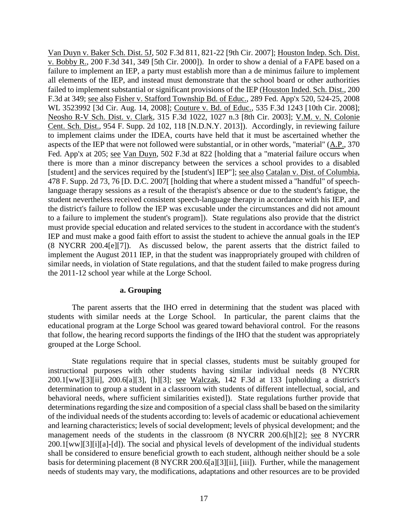Van Duyn v. Baker Sch. Dist. 5J, 502 F.3d 811, 821-22 [9th Cir. 2007]; Houston Indep. Sch. Dist. v. Bobby R., 200 F.3d 341, 349 [5th Cir. 2000]). In order to show a denial of a FAPE based on a failure to implement an IEP, a party must establish more than a de minimus failure to implement all elements of the IEP, and instead must demonstrate that the school board or other authorities failed to implement substantial or significant provisions of the IEP (Houston Inded. Sch. Dist., 200 F.3d at 349; see also Fisher v. Stafford Township Bd. of Educ., 289 Fed. App'x 520, 524-25, 2008 WL 3523992 [3d Cir. Aug. 14, 2008]; Couture v. Bd. of Educ., 535 F.3d 1243 [10th Cir. 2008]; Neosho R-V Sch. Dist. v. Clark, 315 F.3d 1022, 1027 n.3 [8th Cir. 2003]; V.M. v. N. Colonie Cent. Sch. Dist., 954 F. Supp. 2d 102, 118 [N.D.N.Y. 2013]). Accordingly, in reviewing failure to implement claims under the IDEA, courts have held that it must be ascertained whether the aspects of the IEP that were not followed were substantial, or in other words, "material" (A.P., 370 Fed. App'x at 205; see Van Duyn, 502 F.3d at 822 [holding that a "material failure occurs when there is more than a minor discrepancy between the services a school provides to a disabled [student] and the services required by the [student's] IEP"]; see also Catalan v. Dist. of Columbia, 478 F. Supp. 2d 73, 76 [D. D.C. 2007[ [holding that where a student missed a "handful" of speechlanguage therapy sessions as a result of the therapist's absence or due to the student's fatigue, the student nevertheless received consistent speech-language therapy in accordance with his IEP, and the district's failure to follow the IEP was excusable under the circumstances and did not amount to a failure to implement the student's program]). State regulations also provide that the district must provide special education and related services to the student in accordance with the student's IEP and must make a good faith effort to assist the student to achieve the annual goals in the IEP (8 NYCRR 200.4[e][7]). As discussed below, the parent asserts that the district failed to implement the August 2011 IEP, in that the student was inappropriately grouped with children of similar needs, in violation of State regulations, and that the student failed to make progress during the 2011-12 school year while at the Lorge School.

#### **a. Grouping**

The parent asserts that the IHO erred in determining that the student was placed with students with similar needs at the Lorge School. In particular, the parent claims that the educational program at the Lorge School was geared toward behavioral control. For the reasons that follow, the hearing record supports the findings of the IHO that the student was appropriately grouped at the Lorge School.

State regulations require that in special classes, students must be suitably grouped for instructional purposes with other students having similar individual needs (8 NYCRR 200.1[ww][3][ii], 200.6[a][3], [h][3]; see Walczak, 142 F.3d at 133 [upholding a district's determination to group a student in a classroom with students of different intellectual, social, and behavioral needs, where sufficient similarities existed]). State regulations further provide that determinations regarding the size and composition of a special class shall be based on the similarity of the individual needs of the students according to: levels of academic or educational achievement and learning characteristics; levels of social development; levels of physical development; and the management needs of the students in the classroom (8 NYCRR 200.6[h][2]; see 8 NYCRR 200.1[ww][3][i][a]-[d]). The social and physical levels of development of the individual students shall be considered to ensure beneficial growth to each student, although neither should be a sole basis for determining placement (8 NYCRR 200.6[a][3][ii], [iii]). Further, while the management needs of students may vary, the modifications, adaptations and other resources are to be provided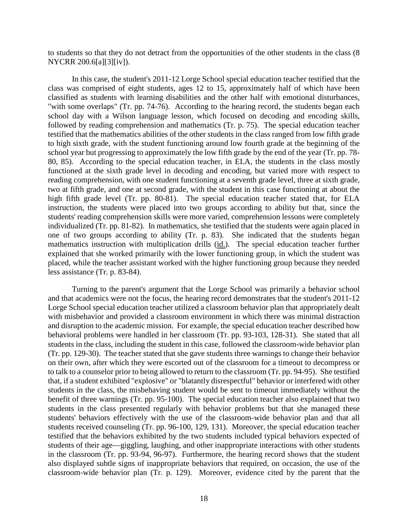to students so that they do not detract from the opportunities of the other students in the class (8 NYCRR 200.6[a][3][iv]).

In this case, the student's 2011-12 Lorge School special education teacher testified that the class was comprised of eight students, ages 12 to 15, approximately half of which have been classified as students with learning disabilities and the other half with emotional disturbances, "with some overlaps" (Tr. pp. 74-76). According to the hearing record, the students began each school day with a Wilson language lesson, which focused on decoding and encoding skills, followed by reading comprehension and mathematics (Tr. p. 75). The special education teacher testified that the mathematics abilities of the other students in the class ranged from low fifth grade to high sixth grade, with the student functioning around low fourth grade at the beginning of the school year but progressing to approximately the low fifth grade by the end of the year (Tr. pp. 78- 80, 85). According to the special education teacher, in ELA, the students in the class mostly functioned at the sixth grade level in decoding and encoding, but varied more with respect to reading comprehension, with one student functioning at a seventh grade level, three at sixth grade, two at fifth grade, and one at second grade, with the student in this case functioning at about the high fifth grade level (Tr. pp. 80-81). The special education teacher stated that, for ELA instruction, the students were placed into two groups according to ability but that, since the students' reading comprehension skills were more varied, comprehension lessons were completely individualized (Tr. pp. 81-82). In mathematics, she testified that the students were again placed in one of two groups according to ability (Tr. p. 83). She indicated that the students began mathematics instruction with multiplication drills (id.). The special education teacher further explained that she worked primarily with the lower functioning group, in which the student was placed, while the teacher assistant worked with the higher functioning group because they needed less assistance (Tr. p. 83-84).

Turning to the parent's argument that the Lorge School was primarily a behavior school and that academics were not the focus, the hearing record demonstrates that the student's 2011-12 Lorge School special education teacher utilized a classroom behavior plan that appropriately dealt with misbehavior and provided a classroom environment in which there was minimal distraction and disruption to the academic mission. For example, the special education teacher described how behavioral problems were handled in her classroom (Tr. pp. 93-103, 128-31). She stated that all students in the class, including the student in this case, followed the classroom-wide behavior plan (Tr. pp. 129-30). The teacher stated that she gave students three warnings to change their behavior on their own, after which they were escorted out of the classroom for a timeout to decompress or to talk to a counselor prior to being allowed to return to the classroom (Tr. pp. 94-95). She testified that, if a student exhibited "explosive" or "blatantly disrespectful" behavior or interfered with other students in the class, the misbehaving student would be sent to timeout immediately without the benefit of three warnings (Tr. pp. 95-100). The special education teacher also explained that two students in the class presented regularly with behavior problems but that she managed these students' behaviors effectively with the use of the classroom-wide behavior plan and that all students received counseling (Tr. pp. 96-100, 129, 131). Moreover, the special education teacher testified that the behaviors exhibited by the two students included typical behaviors expected of students of their age—giggling, laughing, and other inappropriate interactions with other students in the classroom (Tr. pp. 93-94, 96-97). Furthermore, the hearing record shows that the student also displayed subtle signs of inappropriate behaviors that required, on occasion, the use of the classroom-wide behavior plan (Tr. p. 129). Moreover, evidence cited by the parent that the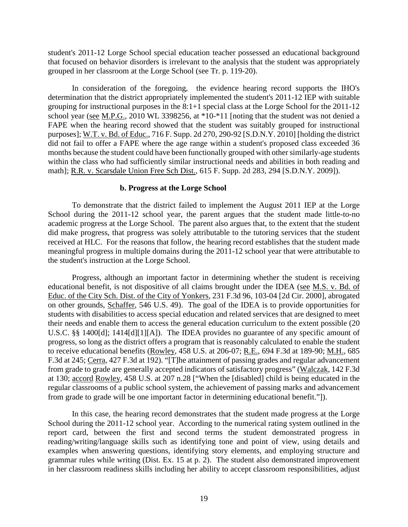student's 2011-12 Lorge School special education teacher possessed an educational background that focused on behavior disorders is irrelevant to the analysis that the student was appropriately grouped in her classroom at the Lorge School (see Tr. p. 119-20).

In consideration of the foregoing, the evidence hearing record supports the IHO's determination that the district appropriately implemented the student's 2011-12 IEP with suitable grouping for instructional purposes in the 8:1+1 special class at the Lorge School for the 2011-12 school year (see M.P.G., 2010 WL 3398256, at \*10-\*11 [noting that the student was not denied a FAPE when the hearing record showed that the student was suitably grouped for instructional purposes]; W.T. v. Bd. of Educ., 716 F. Supp. 2d 270, 290-92 [S.D.N.Y. 2010] [holding the district did not fail to offer a FAPE where the age range within a student's proposed class exceeded 36 months because the student could have been functionally grouped with other similarly-age students within the class who had sufficiently similar instructional needs and abilities in both reading and math]; R.R. v. Scarsdale Union Free Sch Dist., 615 F. Supp. 2d 283, 294 [S.D.N.Y. 2009]).

## **b. Progress at the Lorge School**

To demonstrate that the district failed to implement the August 2011 IEP at the Lorge School during the 2011-12 school year, the parent argues that the student made little-to-no academic progress at the Lorge School. The parent also argues that, to the extent that the student did make progress, that progress was solely attributable to the tutoring services that the student received at HLC. For the reasons that follow, the hearing record establishes that the student made meaningful progress in multiple domains during the 2011-12 school year that were attributable to the student's instruction at the Lorge School.

Progress, although an important factor in determining whether the student is receiving educational benefit, is not dispositive of all claims brought under the IDEA (see M.S. v. Bd. of Educ. of the City Sch. Dist. of the City of Yonkers, 231 F.3d 96, 103-04 [2d Cir. 2000], abrogated on other grounds, Schaffer, 546 U.S. 49). The goal of the IDEA is to provide opportunities for students with disabilities to access special education and related services that are designed to meet their needs and enable them to access the general education curriculum to the extent possible (20 U.S.C. §§ 1400[d]; 1414[d][1][A]). The IDEA provides no guarantee of any specific amount of progress, so long as the district offers a program that is reasonably calculated to enable the student to receive educational benefits (Rowley, 458 U.S. at 206-07; R.E., 694 F.3d at 189-90; M.H., 685 F.3d at 245; Cerra, 427 F.3d at 192). "[T]he attainment of passing grades and regular advancement from grade to grade are generally accepted indicators of satisfactory progress" (Walczak, 142 F.3d at 130; accord Rowley, 458 U.S. at 207 n.28 ["When the [disabled] child is being educated in the regular classrooms of a public school system, the achievement of passing marks and advancement from grade to grade will be one important factor in determining educational benefit."]).

In this case, the hearing record demonstrates that the student made progress at the Lorge School during the 2011-12 school year. According to the numerical rating system outlined in the report card, between the first and second terms the student demonstrated progress in reading/writing/language skills such as identifying tone and point of view, using details and examples when answering questions, identifying story elements, and employing structure and grammar rules while writing (Dist. Ex. 15 at p. 2). The student also demonstrated improvement in her classroom readiness skills including her ability to accept classroom responsibilities, adjust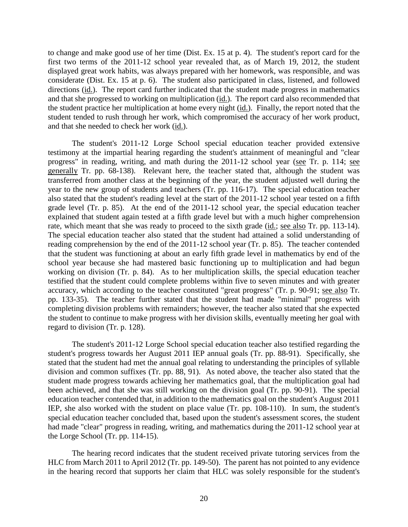to change and make good use of her time (Dist. Ex. 15 at p. 4). The student's report card for the first two terms of the 2011-12 school year revealed that, as of March 19, 2012, the student displayed great work habits, was always prepared with her homework, was responsible, and was considerate (Dist. Ex. 15 at p. 6). The student also participated in class, listened, and followed directions (id.). The report card further indicated that the student made progress in mathematics and that she progressed to working on multiplication (id.). The report card also recommended that the student practice her multiplication at home every night (id.). Finally, the report noted that the student tended to rush through her work, which compromised the accuracy of her work product, and that she needed to check her work (id.).

The student's 2011-12 Lorge School special education teacher provided extensive testimony at the impartial hearing regarding the student's attainment of meaningful and "clear progress" in reading, writing, and math during the 2011-12 school year (see Tr. p. 114; see generally Tr. pp. 68-138). Relevant here, the teacher stated that, although the student was transferred from another class at the beginning of the year, the student adjusted well during the year to the new group of students and teachers (Tr. pp. 116-17). The special education teacher also stated that the student's reading level at the start of the 2011-12 school year tested on a fifth grade level (Tr. p. 85). At the end of the 2011-12 school year, the special education teacher explained that student again tested at a fifth grade level but with a much higher comprehension rate, which meant that she was ready to proceed to the sixth grade (id.; see also Tr. pp. 113-14). The special education teacher also stated that the student had attained a solid understanding of reading comprehension by the end of the 2011-12 school year (Tr. p. 85). The teacher contended that the student was functioning at about an early fifth grade level in mathematics by end of the school year because she had mastered basic functioning up to multiplication and had begun working on division (Tr. p. 84). As to her multiplication skills, the special education teacher testified that the student could complete problems within five to seven minutes and with greater accuracy, which according to the teacher constituted "great progress" (Tr. p. 90-91; see also Tr. pp. 133-35). The teacher further stated that the student had made "minimal" progress with completing division problems with remainders; however, the teacher also stated that she expected the student to continue to make progress with her division skills, eventually meeting her goal with regard to division (Tr. p. 128).

The student's 2011-12 Lorge School special education teacher also testified regarding the student's progress towards her August 2011 IEP annual goals (Tr. pp. 88-91). Specifically, she stated that the student had met the annual goal relating to understanding the principles of syllable division and common suffixes (Tr. pp. 88, 91). As noted above, the teacher also stated that the student made progress towards achieving her mathematics goal, that the multiplication goal had been achieved, and that she was still working on the division goal (Tr. pp. 90-91). The special education teacher contended that, in addition to the mathematics goal on the student's August 2011 IEP, she also worked with the student on place value (Tr. pp. 108-110). In sum, the student's special education teacher concluded that, based upon the student's assessment scores, the student had made "clear" progress in reading, writing, and mathematics during the 2011-12 school year at the Lorge School (Tr. pp. 114-15).

The hearing record indicates that the student received private tutoring services from the HLC from March 2011 to April 2012 (Tr. pp. 149-50). The parent has not pointed to any evidence in the hearing record that supports her claim that HLC was solely responsible for the student's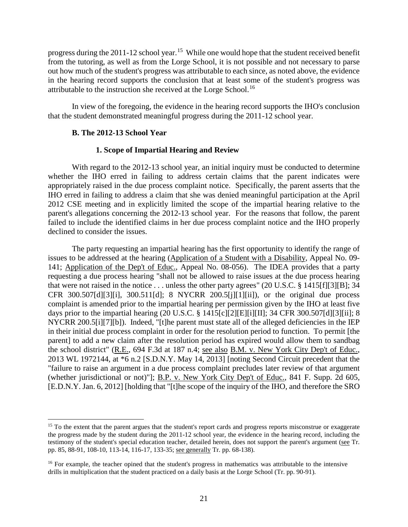progress during the 2011-12 school year.<sup>15</sup> While one would hope that the student received benefit from the tutoring, as well as from the Lorge School, it is not possible and not necessary to parse out how much of the student's progress was attributable to each since, as noted above, the evidence in the hearing record supports the conclusion that at least some of the student's progress was attributable to the instruction she received at the Lorge School.<sup>16</sup>

In view of the foregoing, the evidence in the hearing record supports the IHO's conclusion that the student demonstrated meaningful progress during the 2011-12 school year.

## **B. The 2012-13 School Year**

## **1. Scope of Impartial Hearing and Review**

With regard to the 2012-13 school year, an initial inquiry must be conducted to determine whether the IHO erred in failing to address certain claims that the parent indicates were appropriately raised in the due process complaint notice. Specifically, the parent asserts that the IHO erred in failing to address a claim that she was denied meaningful participation at the April 2012 CSE meeting and in explicitly limited the scope of the impartial hearing relative to the parent's allegations concerning the 2012-13 school year. For the reasons that follow, the parent failed to include the identified claims in her due process complaint notice and the IHO properly declined to consider the issues.

The party requesting an impartial hearing has the first opportunity to identify the range of issues to be addressed at the hearing (Application of a Student with a Disability, Appeal No. 09- 141; Application of the Dep't of Educ., Appeal No. 08-056). The IDEA provides that a party requesting a due process hearing "shall not be allowed to raise issues at the due process hearing that were not raised in the notice . . . unless the other party agrees" (20 U.S.C. § 1415[f][3][B]; 34 CFR 300.507[d][3][i], 300.511[d]; 8 NYCRR 200.5[j][1][ii]), or the original due process complaint is amended prior to the impartial hearing per permission given by the IHO at least five days prior to the impartial hearing (20 U.S.C. § 1415[c][2][E][i][II]; 34 CFR 300.507[d][3][ii]; 8 NYCRR 200.5[i][7][b]). Indeed, "[t]he parent must state all of the alleged deficiencies in the IEP in their initial due process complaint in order for the resolution period to function. To permit [the parent] to add a new claim after the resolution period has expired would allow them to sandbag the school district" (R.E., 694 F.3d at 187 n.4; see also B.M. v. New York City Dep't of Educ., 2013 WL 1972144, at \*6 n.2 [S.D.N.Y. May 14, 2013] [noting Second Circuit precedent that the "failure to raise an argument in a due process complaint precludes later review of that argument (whether jurisdictional or not)"]; B.P. v. New York City Dep't of Educ., 841 F. Supp. 2d 605, [E.D.N.Y. Jan. 6, 2012] [holding that "[t]he scope of the inquiry of the IHO, and therefore the SRO

<sup>&</sup>lt;sup>15</sup> To the extent that the parent argues that the student's report cards and progress reports misconstrue or exaggerate the progress made by the student during the 2011-12 school year, the evidence in the hearing record, including the testimony of the student's special education teacher, detailed herein, does not support the parent's argument (see Tr. pp. 85, 88-91, 108-10, 113-14, 116-17, 133-35; see generally Tr. pp. 68-138).

<sup>&</sup>lt;sup>16</sup> For example, the teacher opined that the student's progress in mathematics was attributable to the intensive drills in multiplication that the student practiced on a daily basis at the Lorge School (Tr. pp. 90-91).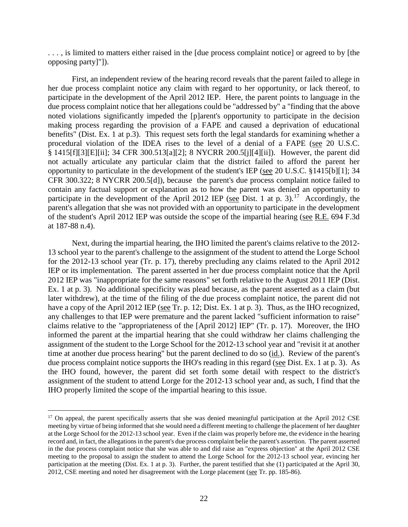. . . , is limited to matters either raised in the [due process complaint notice] or agreed to by [the opposing party]"]).

First, an independent review of the hearing record reveals that the parent failed to allege in her due process complaint notice any claim with regard to her opportunity, or lack thereof, to participate in the development of the April 2012 IEP. Here, the parent points to language in the due process complaint notice that her allegations could be "addressed by" a "finding that the above noted violations significantly impeded the [p]arent's opportunity to participate in the decision making process regarding the provision of a FAPE and caused a deprivation of educational benefits" (Dist. Ex. 1 at p.3). This request sets forth the legal standards for examining whether a procedural violation of the IDEA rises to the level of a denial of a FAPE (see 20 U.S.C. § 1415[f][3][E][ii]; 34 CFR 300.513[a][2]; 8 NYCRR 200.5[j][4][ii]). However, the parent did not actually articulate any particular claim that the district failed to afford the parent her opportunity to particulate in the development of the student's IEP (see 20 U.S.C. §1415[b][1]; 34 CFR 300.322; 8 NYCRR 200.5[d]), because the parent's due process complaint notice failed to contain any factual support or explanation as to how the parent was denied an opportunity to participate in the development of the April 2012 IEP (see Dist. 1 at p. 3).<sup>17</sup> Accordingly, the parent's allegation that she was not provided with an opportunity to participate in the development of the student's April 2012 IEP was outside the scope of the impartial hearing (see R.E. 694 F.3d at 187-88 n.4).

Next, during the impartial hearing, the IHO limited the parent's claims relative to the 2012- 13 school year to the parent's challenge to the assignment of the student to attend the Lorge School for the 2012-13 school year (Tr. p. 17), thereby precluding any claims related to the April 2012 IEP or its implementation. The parent asserted in her due process complaint notice that the April 2012 IEP was "inappropriate for the same reasons" set forth relative to the August 2011 IEP (Dist. Ex. 1 at p. 3). No additional specificity was plead because, as the parent asserted as a claim (but later withdrew), at the time of the filing of the due process complaint notice, the parent did not have a copy of the April 2012 IEP (see Tr. p. 12; Dist. Ex. 1 at p. 3). Thus, as the IHO recognized, any challenges to that IEP were premature and the parent lacked "sufficient information to raise" claims relative to the "appropriateness of the [April 2012] IEP" (Tr. p. 17). Moreover, the IHO informed the parent at the impartial hearing that she could withdraw her claims challenging the assignment of the student to the Lorge School for the 2012-13 school year and "revisit it at another time at another due process hearing" but the parent declined to do so (id.). Review of the parent's due process complaint notice supports the IHO's reading in this regard (see Dist. Ex. 1 at p. 3). As the IHO found, however, the parent did set forth some detail with respect to the district's assignment of the student to attend Lorge for the 2012-13 school year and, as such, I find that the IHO properly limited the scope of the impartial hearing to this issue.

<sup>&</sup>lt;sup>17</sup> On appeal, the parent specifically asserts that she was denied meaningful participation at the April 2012 CSE meeting by virtue of being informed that she would need a different meeting to challenge the placement of her daughter at the Lorge School for the 2012-13 school year. Even if the claim was properly before me, the evidence in the hearing record and, in fact, the allegations in the parent's due process complaint belie the parent's assertion. The parent asserted in the due process complaint notice that she was able to and did raise an "express objection" at the April 2012 CSE meeting to the proposal to assign the student to attend the Lorge School for the 2012-13 school year, evincing her participation at the meeting (Dist. Ex. 1 at p. 3). Further, the parent testified that she (1) participated at the April 30, 2012, CSE meeting and noted her disagreement with the Lorge placement (see Tr. pp. 185-86).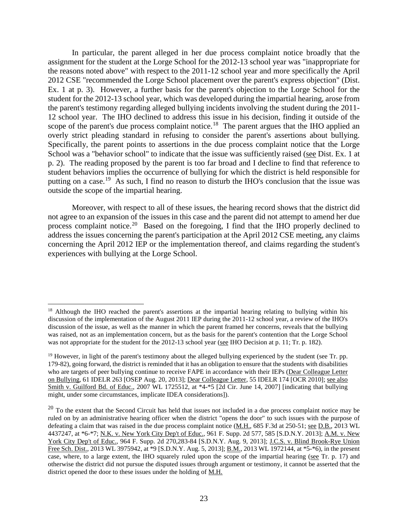In particular, the parent alleged in her due process complaint notice broadly that the assignment for the student at the Lorge School for the 2012-13 school year was "inappropriate for the reasons noted above" with respect to the 2011-12 school year and more specifically the April 2012 CSE "recommended the Lorge School placement over the parent's express objection" (Dist. Ex. 1 at p. 3). However, a further basis for the parent's objection to the Lorge School for the student for the 2012-13 school year, which was developed during the impartial hearing, arose from the parent's testimony regarding alleged bullying incidents involving the student during the 2011- 12 school year. The IHO declined to address this issue in his decision, finding it outside of the scope of the parent's due process complaint notice.<sup>18</sup> The parent argues that the IHO applied an overly strict pleading standard in refusing to consider the parent's assertions about bullying. Specifically, the parent points to assertions in the due process complaint notice that the Lorge School was a "behavior school" to indicate that the issue was sufficiently raised (see Dist. Ex. 1 at p. 2). The reading proposed by the parent is too far broad and I decline to find that reference to student behaviors implies the occurrence of bullying for which the district is held responsible for putting on a case.<sup>19</sup> As such, I find no reason to disturb the IHO's conclusion that the issue was outside the scope of the impartial hearing.

Moreover, with respect to all of these issues, the hearing record shows that the district did not agree to an expansion of the issues in this case and the parent did not attempt to amend her due process complaint notice.<sup>20</sup> Based on the foregoing, I find that the IHO properly declined to address the issues concerning the parent's participation at the April 2012 CSE meeting, any claims concerning the April 2012 IEP or the implementation thereof, and claims regarding the student's experiences with bullying at the Lorge School.

<sup>&</sup>lt;sup>18</sup> Although the IHO reached the parent's assertions at the impartial hearing relating to bullying within his discussion of the implementation of the August 2011 IEP during the 2011-12 school year, a review of the IHO's discussion of the issue, as well as the manner in which the parent framed her concerns, reveals that the bullying was raised, not as an implementation concern, but as the basis for the parent's contention that the Lorge School was not appropriate for the student for the 2012-13 school year (see IHO Decision at p. 11; Tr. p. 182).

<sup>&</sup>lt;sup>19</sup> However, in light of the parent's testimony about the alleged bullying experienced by the student (see Tr. pp. 179-82), going forward, the district is reminded that it has an obligation to ensure that the students with disabilities who are targets of peer bullying continue to receive FAPE in accordance with their IEPs (Dear Colleague Letter on Bullying, 61 IDELR 263 [OSEP Aug. 20, 2013]; Dear Colleague Letter, 55 IDELR 174 [OCR 2010]; see also Smith v. Guilford Bd. of Educ., 2007 WL 1725512, at \*4-\*5 [2d Cir. June 14, 2007] [indicating that bullying might, under some circumstances, implicate IDEA considerations]).

 $20$  To the extent that the Second Circuit has held that issues not included in a due process complaint notice may be ruled on by an administrative hearing officer when the district "opens the door" to such issues with the purpose of defeating a claim that was raised in the due process complaint notice (M.H., 685 F.3d at 250-51; see D.B., 2013 WL 4437247, at \*6-\*7; N.K. v. New York City Dep't of Educ., 961 F. Supp. 2d 577, 585 [S.D.N.Y. 2013]; A.M. v. New York City Dep't of Educ., 964 F. Supp. 2d 270,283-84 [S.D.N.Y. Aug. 9, 2013]; J.C.S. v. Blind Brook-Rye Union Free Sch. Dist., 2013 WL 3975942, at \*9 [S.D.N.Y. Aug. 5, 2013]; B.M., 2013 WL 1972144, at \*5-\*6), in the present case, where, to a large extent, the IHO squarely ruled upon the scope of the impartial hearing (see Tr. p. 17) and otherwise the district did not pursue the disputed issues through argument or testimony, it cannot be asserted that the district opened the door to these issues under the holding of M.H.